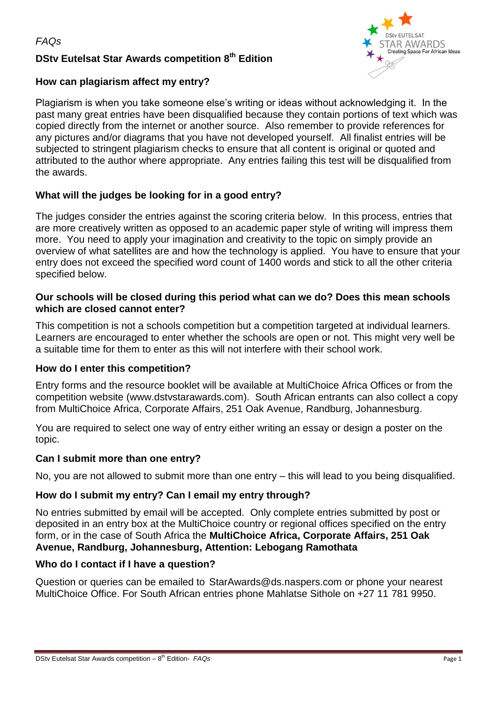# **DStv Eutelsat Star Awards competition 8 th Edition**



## **How can plagiarism affect my entry?**

Plagiarism is when you take someone else's writing or ideas without acknowledging it. In the past many great entries have been disqualified because they contain portions of text which was copied directly from the internet or another source. Also remember to provide references for any pictures and/or diagrams that you have not developed yourself. All finalist entries will be subjected to stringent plagiarism checks to ensure that all content is original or quoted and attributed to the author where appropriate. Any entries failing this test will be disqualified from the awards.

## **What will the judges be looking for in a good entry?**

The judges consider the entries against the scoring criteria below. In this process, entries that are more creatively written as opposed to an academic paper style of writing will impress them more. You need to apply your imagination and creativity to the topic on simply provide an overview of what satellites are and how the technology is applied. You have to ensure that your entry does not exceed the specified word count of 1400 words and stick to all the other criteria specified below.

### **Our schools will be closed during this period what can we do? Does this mean schools which are closed cannot enter?**

This competition is not a schools competition but a competition targeted at individual learners. Learners are encouraged to enter whether the schools are open or not. This might very well be a suitable time for them to enter as this will not interfere with their school work.

## **How do I enter this competition?**

Entry forms and the resource booklet will be available at MultiChoice Africa Offices or from the competition website [\(www.dstvstarawards.com\)](http://www.dstvstarawards.com/). South African entrants can also collect a copy from MultiChoice Africa, Corporate Affairs, 251 Oak Avenue, Randburg, Johannesburg.

You are required to select one way of entry either writing an essay or design a poster on the topic.

## **Can I submit more than one entry?**

No, you are not allowed to submit more than one entry – this will lead to you being disqualified.

## **How do I submit my entry? Can I email my entry through?**

No entries submitted by email will be accepted. Only complete entries submitted by post or deposited in an entry box at the MultiChoice country or regional offices specified on the entry form, or in the case of South Africa the **MultiChoice Africa, Corporate Affairs, 251 Oak Avenue, Randburg, Johannesburg, Attention: Lebogang Ramothata**

## **Who do I contact if I have a question?**

Question or queries can be emailed to [StarAwards@ds.naspers.com](mailto:StarAwards@ds.naspers.com) or phone your nearest MultiChoice Office. For South African entries phone Mahlatse Sithole on +27 11 781 9950.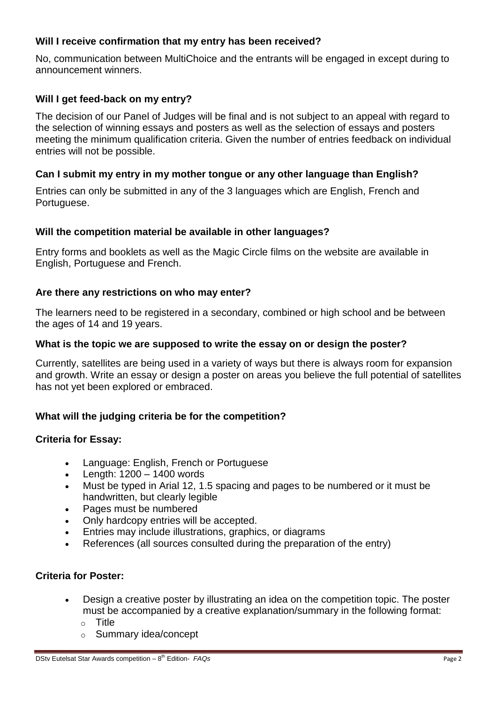## **Will I receive confirmation that my entry has been received?**

No, communication between MultiChoice and the entrants will be engaged in except during to announcement winners.

## **Will I get feed-back on my entry?**

The decision of our Panel of Judges will be final and is not subject to an appeal with regard to the selection of winning essays and posters as well as the selection of essays and posters meeting the minimum qualification criteria. Given the number of entries feedback on individual entries will not be possible.

## **Can I submit my entry in my mother tongue or any other language than English?**

Entries can only be submitted in any of the 3 languages which are English, French and Portuguese.

#### **Will the competition material be available in other languages?**

Entry forms and booklets as well as the Magic Circle films on the website are available in English, Portuguese and French.

## **Are there any restrictions on who may enter?**

The learners need to be registered in a secondary, combined or high school and be between the ages of 14 and 19 years.

#### **What is the topic we are supposed to write the essay on or design the poster?**

Currently, satellites are being used in a variety of ways but there is always room for expansion and growth. Write an essay or design a poster on areas you believe the full potential of satellites has not yet been explored or embraced.

## **What will the judging criteria be for the competition?**

## **Criteria for Essay:**

- Language: English, French or Portuguese
- $\bullet$  Length: 1200 1400 words
- Must be typed in Arial 12, 1.5 spacing and pages to be numbered or it must be handwritten, but clearly legible
- Pages must be numbered
- Only hardcopy entries will be accepted.
- Entries may include illustrations, graphics, or diagrams
- References (all sources consulted during the preparation of the entry)

#### **Criteria for Poster:**

- Design a creative poster by illustrating an idea on the competition topic. The poster must be accompanied by a creative explanation/summary in the following format:
	- o Title
	- o Summary idea/concept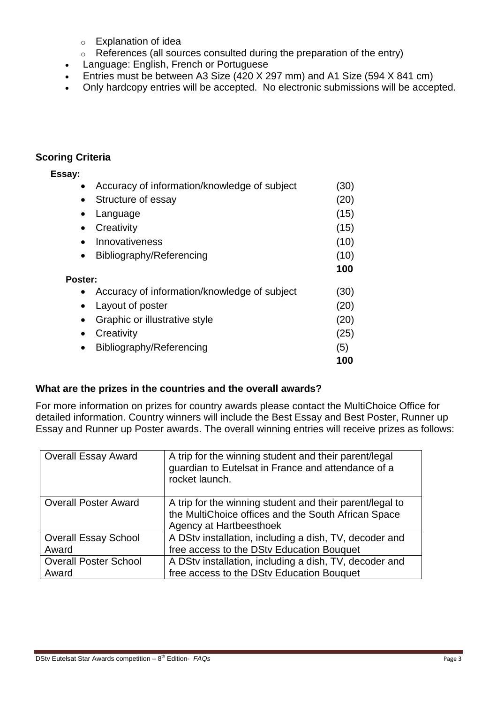- o Explanation of idea
- o References (all sources consulted during the preparation of the entry)
- Language: English, French or Portuguese
- Entries must be between A3 Size (420 X 297 mm) and A1 Size (594 X 841 cm)
- Only hardcopy entries will be accepted. No electronic submissions will be accepted.

## **Scoring Criteria**

| Essay:         |                                              |      |
|----------------|----------------------------------------------|------|
| $\bullet$      | Accuracy of information/knowledge of subject | (30) |
| $\bullet$      | Structure of essay                           | (20) |
| $\bullet$      | Language                                     | (15) |
|                | Creativity                                   | (15) |
|                | Innovativeness                               | (10) |
| $\bullet$      | Bibliography/Referencing                     | (10) |
|                |                                              | 100  |
| <b>Poster:</b> |                                              |      |
|                | Accuracy of information/knowledge of subject | (30) |
| $\bullet$      | Layout of poster                             | (20) |
|                | Graphic or illustrative style                | (20) |
| ٠              | Creativity                                   | (25) |
| $\bullet$      | Bibliography/Referencing                     | (5)  |
|                |                                              | 100  |

## **What are the prizes in the countries and the overall awards?**

For more information on prizes for country awards please contact the MultiChoice Office for detailed information. Country winners will include the Best Essay and Best Poster, Runner up Essay and Runner up Poster awards. The overall winning entries will receive prizes as follows:

| <b>Overall Essay Award</b>   | A trip for the winning student and their parent/legal<br>guardian to Eutelsat in France and attendance of a<br>rocket launch.              |
|------------------------------|--------------------------------------------------------------------------------------------------------------------------------------------|
| <b>Overall Poster Award</b>  | A trip for the winning student and their parent/legal to<br>the MultiChoice offices and the South African Space<br>Agency at Hartbeesthoek |
| <b>Overall Essay School</b>  | A DStv installation, including a dish, TV, decoder and                                                                                     |
| Award                        | free access to the DStv Education Bouquet                                                                                                  |
| <b>Overall Poster School</b> | A DStv installation, including a dish, TV, decoder and                                                                                     |
| Award                        | free access to the DStv Education Bouquet                                                                                                  |